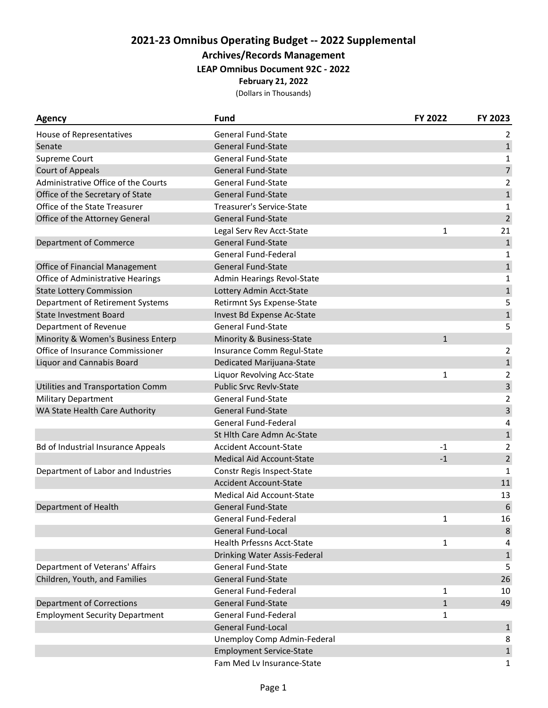## **2021-23 Omnibus Operating Budget -- 2022 Supplemental**

**Archives/Records Management**

## **LEAP Omnibus Document 92C - 2022**

**February 21, 2022**

(Dollars in Thousands)

| <b>Agency</b>                             | <b>Fund</b>                      | FY 2022      | FY 2023        |
|-------------------------------------------|----------------------------------|--------------|----------------|
| House of Representatives                  | <b>General Fund-State</b>        |              | 2              |
| Senate                                    | <b>General Fund-State</b>        |              | $\mathbf{1}$   |
| Supreme Court                             | <b>General Fund-State</b>        |              | $\mathbf{1}$   |
| <b>Court of Appeals</b>                   | <b>General Fund-State</b>        |              | $\overline{7}$ |
| Administrative Office of the Courts       | <b>General Fund-State</b>        |              | $\overline{c}$ |
| Office of the Secretary of State          | <b>General Fund-State</b>        |              | $\mathbf{1}$   |
| Office of the State Treasurer             | Treasurer's Service-State        |              | $\mathbf{1}$   |
| Office of the Attorney General            | <b>General Fund-State</b>        |              | $\overline{2}$ |
|                                           | Legal Serv Rev Acct-State        | 1            | 21             |
| Department of Commerce                    | <b>General Fund-State</b>        |              | $\mathbf{1}$   |
|                                           | General Fund-Federal             |              | $\mathbf{1}$   |
| Office of Financial Management            | <b>General Fund-State</b>        |              | $\mathbf{1}$   |
| Office of Administrative Hearings         | Admin Hearings Revol-State       |              | 1              |
| <b>State Lottery Commission</b>           | Lottery Admin Acct-State         |              | $\mathbf{1}$   |
| Department of Retirement Systems          | Retirmnt Sys Expense-State       |              | 5              |
| <b>State Investment Board</b>             | Invest Bd Expense Ac-State       |              | $\mathbf 1$    |
| Department of Revenue                     | <b>General Fund-State</b>        |              | 5              |
| Minority & Women's Business Enterp        | Minority & Business-State        | $\mathbf{1}$ |                |
| Office of Insurance Commissioner          | Insurance Comm Regul-State       |              | $\overline{2}$ |
| <b>Liquor and Cannabis Board</b>          | Dedicated Marijuana-State        |              | $\mathbf 1$    |
|                                           | Liquor Revolving Acc-State       | $\mathbf{1}$ | $\overline{2}$ |
| Utilities and Transportation Comm         | <b>Public Srvc Revlv-State</b>   |              | 3              |
| <b>Military Department</b>                | <b>General Fund-State</b>        |              | 2              |
| WA State Health Care Authority            | <b>General Fund-State</b>        |              | 3              |
|                                           | General Fund-Federal             |              | 4              |
|                                           | St Hlth Care Admn Ac-State       |              | $\mathbf 1$    |
| <b>Bd of Industrial Insurance Appeals</b> | <b>Accident Account-State</b>    | $-1$         | $\overline{2}$ |
|                                           | <b>Medical Aid Account-State</b> | $-1$         | $\overline{2}$ |
| Department of Labor and Industries        | Constr Regis Inspect-State       |              | $\mathbf{1}$   |
|                                           | <b>Accident Account-State</b>    |              | 11             |
|                                           | <b>Medical Aid Account-State</b> |              | 13             |
| Department of Health                      | <b>General Fund-State</b>        |              | 6              |
|                                           | General Fund-Federal             | $\mathbf{1}$ | 16             |
|                                           | <b>General Fund-Local</b>        |              | 8              |
|                                           | Health Prfessns Acct-State       | 1            | 4              |
|                                           | Drinking Water Assis-Federal     |              | $\mathbf{1}$   |
| Department of Veterans' Affairs           | <b>General Fund-State</b>        |              | 5              |
| Children, Youth, and Families             | <b>General Fund-State</b>        |              | 26             |
|                                           | General Fund-Federal             | 1            | 10             |
| <b>Department of Corrections</b>          | <b>General Fund-State</b>        | $\mathbf{1}$ | 49             |
| <b>Employment Security Department</b>     | General Fund-Federal             | $\mathbf{1}$ |                |
|                                           | <b>General Fund-Local</b>        |              | $\mathbf{1}$   |
|                                           | Unemploy Comp Admin-Federal      |              | 8              |
|                                           | <b>Employment Service-State</b>  |              | $\mathbf{1}$   |
|                                           | Fam Med Lv Insurance-State       |              | $\mathbf{1}$   |